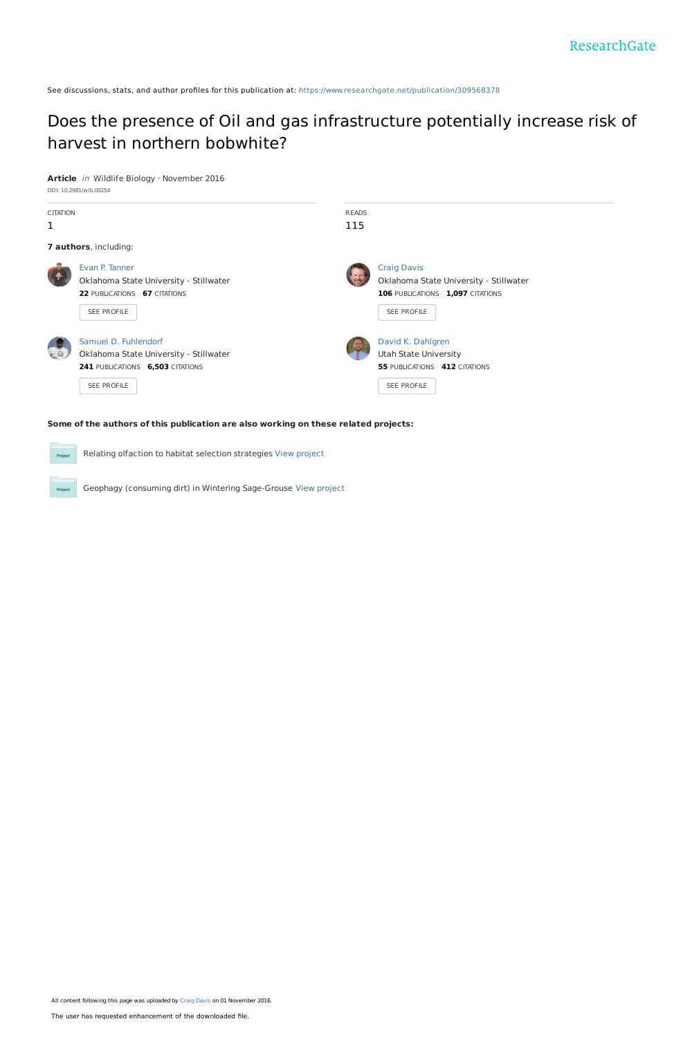See discussions, stats, and author profiles for this publication at: [https://www.researchgate.net/publication/309568378](https://www.researchgate.net/publication/309568378_Does_the_presence_of_Oil_and_gas_infrastructure_potentially_increase_risk_of_harvest_in_northern_bobwhite?enrichId=rgreq-768d0444802a65107177e93c2e727d04-XXX&enrichSource=Y292ZXJQYWdlOzMwOTU2ODM3ODtBUzo0MjM2OTkzNjM5NjI4ODBAMTQ3ODAyOTIwODcxNQ%3D%3D&el=1_x_2&_esc=publicationCoverPdf)

# Does the presence of Oil and gas [infrastructure](https://www.researchgate.net/publication/309568378_Does_the_presence_of_Oil_and_gas_infrastructure_potentially_increase_risk_of_harvest_in_northern_bobwhite?enrichId=rgreq-768d0444802a65107177e93c2e727d04-XXX&enrichSource=Y292ZXJQYWdlOzMwOTU2ODM3ODtBUzo0MjM2OTkzNjM5NjI4ODBAMTQ3ODAyOTIwODcxNQ%3D%3D&el=1_x_3&_esc=publicationCoverPdf) potentially increase risk of harvest in northern bobwhite?

**Article** in Wildlife Biology · November 2016 DOI: 10.2981/wlb.00254

 $Pro$ 



**Some of the authors of this publication are also working on these related projects:**

Relating olfaction to habitat selection strategies View [project](https://www.researchgate.net/project/Relating-olfaction-to-habitat-selection-strategies?enrichId=rgreq-768d0444802a65107177e93c2e727d04-XXX&enrichSource=Y292ZXJQYWdlOzMwOTU2ODM3ODtBUzo0MjM2OTkzNjM5NjI4ODBAMTQ3ODAyOTIwODcxNQ%3D%3D&el=1_x_9&_esc=publicationCoverPdf) Project

Geophagy (consuming dirt) in Wintering Sage-Grouse View [project](https://www.researchgate.net/project/Geophagy-consuming-dirt-in-Wintering-Sage-Grouse?enrichId=rgreq-768d0444802a65107177e93c2e727d04-XXX&enrichSource=Y292ZXJQYWdlOzMwOTU2ODM3ODtBUzo0MjM2OTkzNjM5NjI4ODBAMTQ3ODAyOTIwODcxNQ%3D%3D&el=1_x_9&_esc=publicationCoverPdf)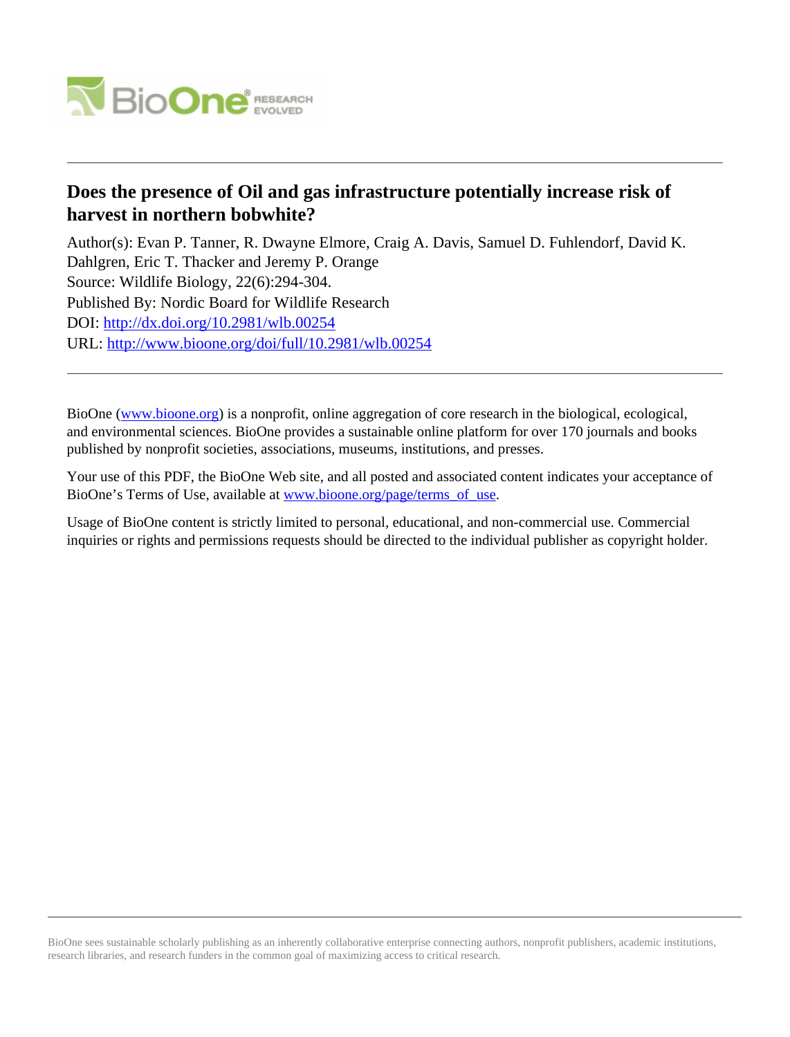

# **Does the presence of Oil and gas infrastructure potentially increase risk of harvest in northern bobwhite?**

Author(s): Evan P. Tanner, R. Dwayne Elmore, Craig A. Davis, Samuel D. Fuhlendorf, David K. Dahlgren, Eric T. Thacker and Jeremy P. Orange Source: Wildlife Biology, 22(6):294-304. Published By: Nordic Board for Wildlife Research DOI:<http://dx.doi.org/10.2981/wlb.00254> URL: <http://www.bioone.org/doi/full/10.2981/wlb.00254>

BioOne [\(www.bioone.org\)](http://www.bioone.org) is a nonprofit, online aggregation of core research in the biological, ecological, and environmental sciences. BioOne provides a sustainable online platform for over 170 journals and books published by nonprofit societies, associations, museums, institutions, and presses.

Your use of this PDF, the BioOne Web site, and all posted and associated content indicates your acceptance of BioOne's Terms of Use, available at [www.bioone.org/page/terms\\_of\\_use.](http://www.bioone.org/page/terms_of_use)

Usage of BioOne content is strictly limited to personal, educational, and non-commercial use. Commercial inquiries or rights and permissions requests should be directed to the individual publisher as copyright holder.

BioOne sees sustainable scholarly publishing as an inherently collaborative enterprise connecting authors, nonprofit publishers, academic institutions, research libraries, and research funders in the common goal of maximizing access to critical research.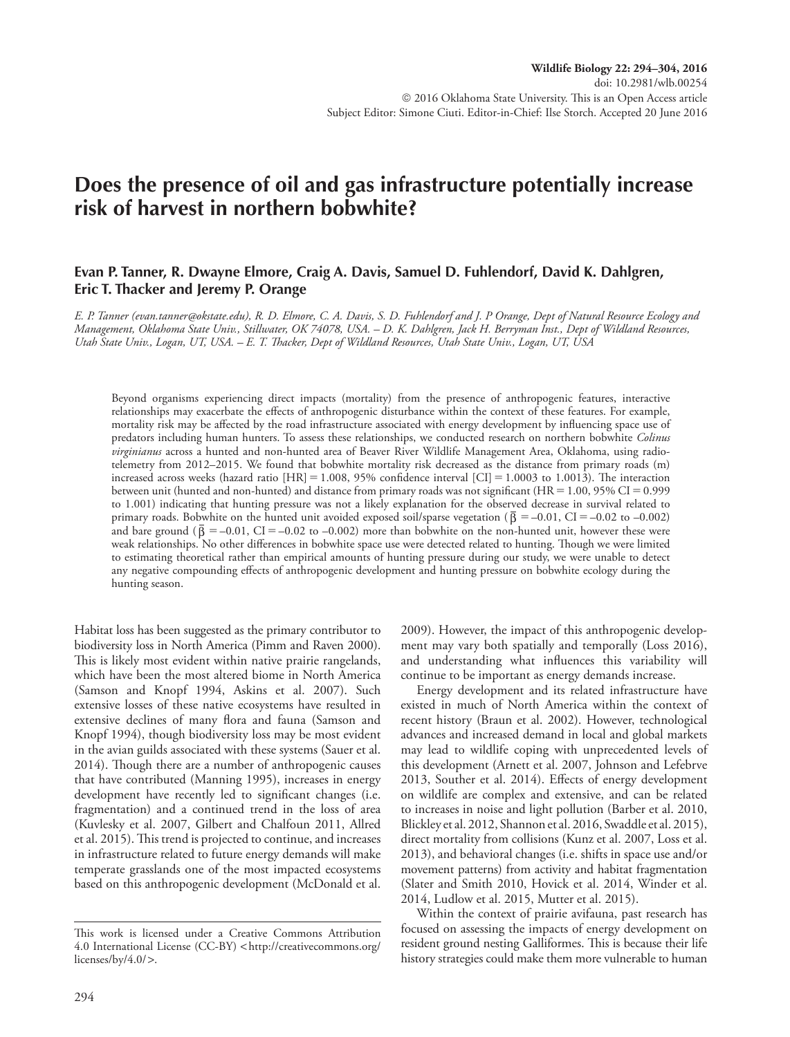# **Does the presence of oil and gas infrastructure potentially increase risk of harvest in northern bobwhite?**

## **Evan P. Tanner, R. Dwayne Elmore, Craig A. Davis, Samuel D. Fuhlendorf, David K. Dahlgren, Eric T. Thacker and Jeremy P. Orange**

*E. P. Tanner (evan.tanner@okstate.edu), R. D. Elmore, C. A. Davis, S. D. Fuhlendorf and J. P Orange, Dept of Natural Resource Ecology and Management, Oklahoma State Univ., Stillwater, OK 74078, USA. – D. K. Dahlgren, Jack H. Berryman Inst., Dept of Wildland Resources, Utah State Univ., Logan, UT, USA. – E. T. Thacker, Dept of Wildland Resources, Utah State Univ., Logan, UT, USA*

Beyond organisms experiencing direct impacts (mortality) from the presence of anthropogenic features, interactive relationships may exacerbate the effects of anthropogenic disturbance within the context of these features. For example, mortality risk may be affected by the road infrastructure associated with energy development by influencing space use of predators including human hunters. To assess these relationships, we conducted research on northern bobwhite *Colinus virginianus* across a hunted and non-hunted area of Beaver River Wildlife Management Area, Oklahoma, using radiotelemetry from 2012–2015. We found that bobwhite mortality risk decreased as the distance from primary roads (m) increased across weeks (hazard ratio [HR] = 1.008, 95% confidence interval [CI] = 1.0003 to 1.0013). The interaction between unit (hunted and non-hunted) and distance from primary roads was not significant ( $HR = 1.00$ , 95% CI = 0.999 to 1.001) indicating that hunting pressure was not a likely explanation for the observed decrease in survival related to primary roads. Bobwhite on the hunted unit avoided exposed soil/sparse vegetation ( $\bar{B} = -0.01$ , CI = -0.02 to -0.002) and bare ground ( $\bar{\beta} = -0.01$ , CI = -0.02 to -0.002) more than bobwhite on the non-hunted unit, however these were weak relationships. No other differences in bobwhite space use were detected related to hunting. Though we were limited to estimating theoretical rather than empirical amounts of hunting pressure during our study, we were unable to detect any negative compounding effects of anthropogenic development and hunting pressure on bobwhite ecology during the hunting season.

Habitat loss has been suggested as the primary contributor to biodiversity loss in North America (Pimm and Raven 2000). This is likely most evident within native prairie rangelands, which have been the most altered biome in North America (Samson and Knopf 1994, Askins et al. 2007). Such extensive losses of these native ecosystems have resulted in extensive declines of many flora and fauna (Samson and Knopf 1994), though biodiversity loss may be most evident in the avian guilds associated with these systems (Sauer et al. 2014). Though there are a number of anthropogenic causes that have contributed (Manning 1995), increases in energy development have recently led to significant changes (i.e. fragmentation) and a continued trend in the loss of area (Kuvlesky et al. 2007, Gilbert and Chalfoun 2011, Allred et al. 2015). This trend is projected to continue, and increases in infrastructure related to future energy demands will make temperate grasslands one of the most impacted ecosystems based on this anthropogenic development (McDonald et al.

2009). However, the impact of this anthropogenic development may vary both spatially and temporally (Loss 2016), and understanding what influences this variability will continue to be important as energy demands increase.

Energy development and its related infrastructure have existed in much of North America within the context of recent history (Braun et al. 2002). However, technological advances and increased demand in local and global markets may lead to wildlife coping with unprecedented levels of this development (Arnett et al. 2007, Johnson and Lefebrve 2013, Souther et al. 2014). Effects of energy development on wildlife are complex and extensive, and can be related to increases in noise and light pollution (Barber et al. 2010, Blickley et al. 2012, Shannon et al. 2016, Swaddle et al. 2015), direct mortality from collisions (Kunz et al. 2007, Loss et al. 2013), and behavioral changes (i.e. shifts in space use and/or movement patterns) from activity and habitat fragmentation (Slater and Smith 2010, Hovick et al. 2014, Winder et al. 2014, Ludlow et al. 2015, Mutter et al. 2015).

Within the context of prairie avifauna, past research has focused on assessing the impacts of energy development on resident ground nesting Galliformes. This is because their life history strategies could make them more vulnerable to human

This work is licensed under a Creative Commons Attribution 4.0 International License (CC-BY) <http://creativecommons.org/ licenses/by/4.0/>.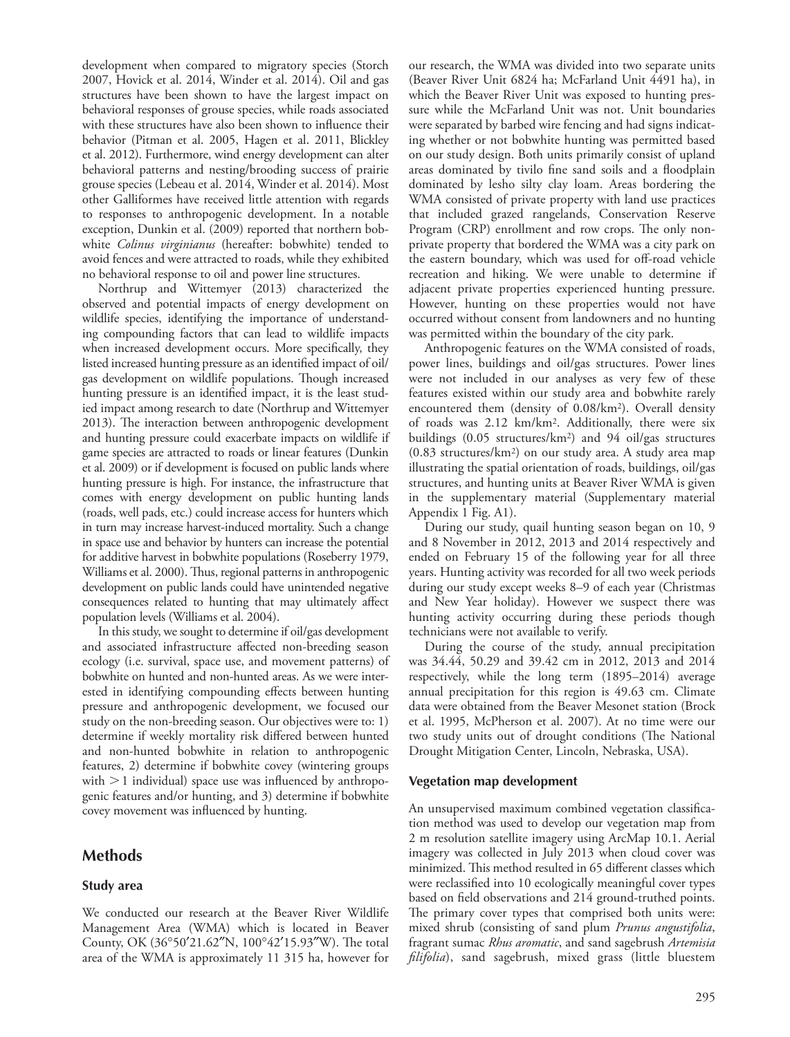development when compared to migratory species (Storch 2007, Hovick et al. 2014, Winder et al. 2014). Oil and gas structures have been shown to have the largest impact on behavioral responses of grouse species, while roads associated with these structures have also been shown to influence their behavior (Pitman et al. 2005, Hagen et al. 2011, Blickley et al. 2012). Furthermore, wind energy development can alter behavioral patterns and nesting/brooding success of prairie grouse species (Lebeau et al. 2014, Winder et al. 2014). Most other Galliformes have received little attention with regards to responses to anthropogenic development. In a notable exception, Dunkin et al. (2009) reported that northern bobwhite *Colinus virginianus* (hereafter: bobwhite) tended to avoid fences and were attracted to roads, while they exhibited no behavioral response to oil and power line structures.

Northrup and Wittemyer (2013) characterized the observed and potential impacts of energy development on wildlife species, identifying the importance of understanding compounding factors that can lead to wildlife impacts when increased development occurs. More specifically, they listed increased hunting pressure as an identified impact of oil/ gas development on wildlife populations. Though increased hunting pressure is an identified impact, it is the least studied impact among research to date (Northrup and Wittemyer 2013). The interaction between anthropogenic development and hunting pressure could exacerbate impacts on wildlife if game species are attracted to roads or linear features (Dunkin et al. 2009) or if development is focused on public lands where hunting pressure is high. For instance, the infrastructure that comes with energy development on public hunting lands (roads, well pads, etc.) could increase access for hunters which in turn may increase harvest-induced mortality. Such a change in space use and behavior by hunters can increase the potential for additive harvest in bobwhite populations (Roseberry 1979, Williams et al. 2000). Thus, regional patterns in anthropogenic development on public lands could have unintended negative consequences related to hunting that may ultimately affect population levels (Williams et al. 2004).

In this study, we sought to determine if oil/gas development and associated infrastructure affected non-breeding season ecology (i.e. survival, space use, and movement patterns) of bobwhite on hunted and non-hunted areas. As we were interested in identifying compounding effects between hunting pressure and anthropogenic development, we focused our study on the non-breeding season. Our objectives were to: 1) determine if weekly mortality risk differed between hunted and non-hunted bobwhite in relation to anthropogenic features, 2) determine if bobwhite covey (wintering groups with  $>$  1 individual) space use was influenced by anthropogenic features and/or hunting, and 3) determine if bobwhite covey movement was influenced by hunting.

## **Methods**

#### **Study area**

We conducted our research at the Beaver River Wildlife Management Area (WMA) which is located in Beaver County, OK (36°50′21.62″N, 100°42′15.93″W). The total area of the WMA is approximately 11 315 ha, however for our research, the WMA was divided into two separate units (Beaver River Unit 6824 ha; McFarland Unit 4491 ha), in which the Beaver River Unit was exposed to hunting pressure while the McFarland Unit was not. Unit boundaries were separated by barbed wire fencing and had signs indicating whether or not bobwhite hunting was permitted based on our study design. Both units primarily consist of upland areas dominated by tivilo fine sand soils and a floodplain dominated by lesho silty clay loam. Areas bordering the WMA consisted of private property with land use practices that included grazed rangelands, Conservation Reserve Program (CRP) enrollment and row crops. The only nonprivate property that bordered the WMA was a city park on the eastern boundary, which was used for off-road vehicle recreation and hiking. We were unable to determine if adjacent private properties experienced hunting pressure. However, hunting on these properties would not have occurred without consent from landowners and no hunting was permitted within the boundary of the city park.

Anthropogenic features on the WMA consisted of roads, power lines, buildings and oil/gas structures. Power lines were not included in our analyses as very few of these features existed within our study area and bobwhite rarely encountered them (density of 0.08/km2). Overall density of roads was 2.12 km/km2. Additionally, there were six buildings (0.05 structures/km2) and 94 oil/gas structures (0.83 structures/km2) on our study area. A study area map illustrating the spatial orientation of roads, buildings, oil/gas structures, and hunting units at Beaver River WMA is given in the supplementary material (Supplementary material Appendix 1 Fig. A1).

During our study, quail hunting season began on 10, 9 and 8 November in 2012, 2013 and 2014 respectively and ended on February 15 of the following year for all three years. Hunting activity was recorded for all two week periods during our study except weeks 8–9 of each year (Christmas and New Year holiday). However we suspect there was hunting activity occurring during these periods though technicians were not available to verify.

During the course of the study, annual precipitation was 34.44, 50.29 and 39.42 cm in 2012, 2013 and 2014 respectively, while the long term (1895–2014) average annual precipitation for this region is 49.63 cm. Climate data were obtained from the Beaver Mesonet station (Brock et al. 1995, McPherson et al. 2007). At no time were our two study units out of drought conditions (The National Drought Mitigation Center, Lincoln, Nebraska, USA).

### **Vegetation map development**

An unsupervised maximum combined vegetation classification method was used to develop our vegetation map from 2 m resolution satellite imagery using ArcMap 10.1. Aerial imagery was collected in July 2013 when cloud cover was minimized. This method resulted in 65 different classes which were reclassified into 10 ecologically meaningful cover types based on field observations and 214 ground-truthed points. The primary cover types that comprised both units were: mixed shrub (consisting of sand plum *Prunus angustifolia*, fragrant sumac *Rhus aromatic*, and sand sagebrush *Artemisia filifolia*), sand sagebrush, mixed grass (little bluestem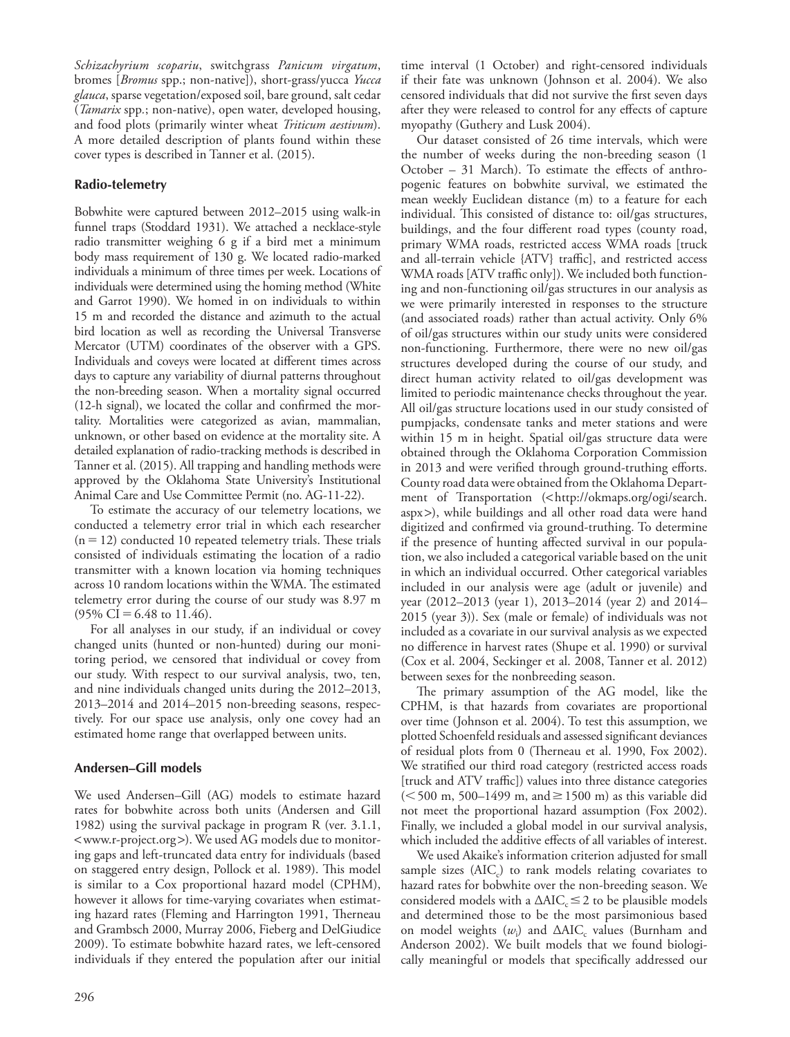*Schizachyrium scopariu*, switchgrass *Panicum virgatum*, bromes [*Bromus* spp.; non-native]), short-grass/yucca *Yucca glauca*, sparse vegetation/exposed soil, bare ground, salt cedar (*Tamarix* spp*.*; non-native), open water, developed housing, and food plots (primarily winter wheat *Triticum aestivum*). A more detailed description of plants found within these cover types is described in Tanner et al. (2015).

### **Radio-telemetry**

Bobwhite were captured between 2012–2015 using walk-in funnel traps (Stoddard 1931). We attached a necklace-style radio transmitter weighing 6 g if a bird met a minimum body mass requirement of 130 g. We located radio-marked individuals a minimum of three times per week. Locations of individuals were determined using the homing method (White and Garrot 1990). We homed in on individuals to within 15 m and recorded the distance and azimuth to the actual bird location as well as recording the Universal Transverse Mercator (UTM) coordinates of the observer with a GPS. Individuals and coveys were located at different times across days to capture any variability of diurnal patterns throughout the non-breeding season. When a mortality signal occurred (12-h signal), we located the collar and confirmed the mortality. Mortalities were categorized as avian, mammalian, unknown, or other based on evidence at the mortality site. A detailed explanation of radio-tracking methods is described in Tanner et al. (2015). All trapping and handling methods were approved by the Oklahoma State University's Institutional Animal Care and Use Committee Permit (no. AG-11-22).

To estimate the accuracy of our telemetry locations, we conducted a telemetry error trial in which each researcher  $(n=12)$  conducted 10 repeated telemetry trials. These trials consisted of individuals estimating the location of a radio transmitter with a known location via homing techniques across 10 random locations within the WMA. The estimated telemetry error during the course of our study was 8.97 m  $(95\% \text{ CI} = 6.48 \text{ to } 11.46).$ 

For all analyses in our study, if an individual or covey changed units (hunted or non-hunted) during our monitoring period, we censored that individual or covey from our study. With respect to our survival analysis, two, ten, and nine individuals changed units during the 2012–2013, 2013–2014 and 2014–2015 non-breeding seasons, respectively. For our space use analysis, only one covey had an estimated home range that overlapped between units.

#### **Andersen–Gill models**

We used Andersen–Gill (AG) models to estimate hazard rates for bobwhite across both units (Andersen and Gill 1982) using the survival package in program R (ver. 3.1.1, <www.r-project.org>). We used AG models due to monitoring gaps and left-truncated data entry for individuals (based on staggered entry design, Pollock et al. 1989). This model is similar to a Cox proportional hazard model (CPHM), however it allows for time-varying covariates when estimating hazard rates (Fleming and Harrington 1991, Therneau and Grambsch 2000, Murray 2006, Fieberg and DelGiudice 2009). To estimate bobwhite hazard rates, we left-censored individuals if they entered the population after our initial

time interval (1 October) and right-censored individuals if their fate was unknown (Johnson et al. 2004). We also censored individuals that did not survive the first seven days after they were released to control for any effects of capture myopathy (Guthery and Lusk 2004).

Our dataset consisted of 26 time intervals, which were the number of weeks during the non-breeding season (1 October – 31 March). To estimate the effects of anthropogenic features on bobwhite survival, we estimated the mean weekly Euclidean distance (m) to a feature for each individual. This consisted of distance to: oil/gas structures, buildings, and the four different road types (county road, primary WMA roads, restricted access WMA roads [truck and all-terrain vehicle {ATV} traffic], and restricted access WMA roads [ATV traffic only]). We included both functioning and non-functioning oil/gas structures in our analysis as we were primarily interested in responses to the structure (and associated roads) rather than actual activity. Only 6% of oil/gas structures within our study units were considered non-functioning. Furthermore, there were no new oil/gas structures developed during the course of our study, and direct human activity related to oil/gas development was limited to periodic maintenance checks throughout the year. All oil/gas structure locations used in our study consisted of pumpjacks, condensate tanks and meter stations and were within 15 m in height. Spatial oil/gas structure data were obtained through the Oklahoma Corporation Commission in 2013 and were verified through ground-truthing efforts. County road data were obtained from the Oklahoma Department of Transportation (<http://okmaps.org/ogi/search. aspx>), while buildings and all other road data were hand digitized and confirmed via ground-truthing. To determine if the presence of hunting affected survival in our population, we also included a categorical variable based on the unit in which an individual occurred. Other categorical variables included in our analysis were age (adult or juvenile) and year (2012–2013 (year 1), 2013–2014 (year 2) and 2014– 2015 (year 3)). Sex (male or female) of individuals was not included as a covariate in our survival analysis as we expected no difference in harvest rates (Shupe et al. 1990) or survival (Cox et al. 2004, Seckinger et al. 2008, Tanner et al. 2012) between sexes for the nonbreeding season.

The primary assumption of the AG model, like the CPHM, is that hazards from covariates are proportional over time (Johnson et al. 2004). To test this assumption, we plotted Schoenfeld residuals and assessed significant deviances of residual plots from 0 (Therneau et al. 1990, Fox 2002). We stratified our third road category (restricted access roads [truck and ATV traffic]) values into three distance categories ( $500$  m, 500–1499 m, and  $\geq$  1500 m) as this variable did not meet the proportional hazard assumption (Fox 2002). Finally, we included a global model in our survival analysis, which included the additive effects of all variables of interest.

We used Akaike's information criterion adjusted for small sample sizes  $(AIC<sub>c</sub>)$  to rank models relating covariates to hazard rates for bobwhite over the non-breeding season. We considered models with a  $\Delta AIC_c \leq 2$  to be plausible models and determined those to be the most parsimonious based on model weights  $(w_i)$  and  $\Delta AIC_c$  values (Burnham and Anderson 2002). We built models that we found biologically meaningful or models that specifically addressed our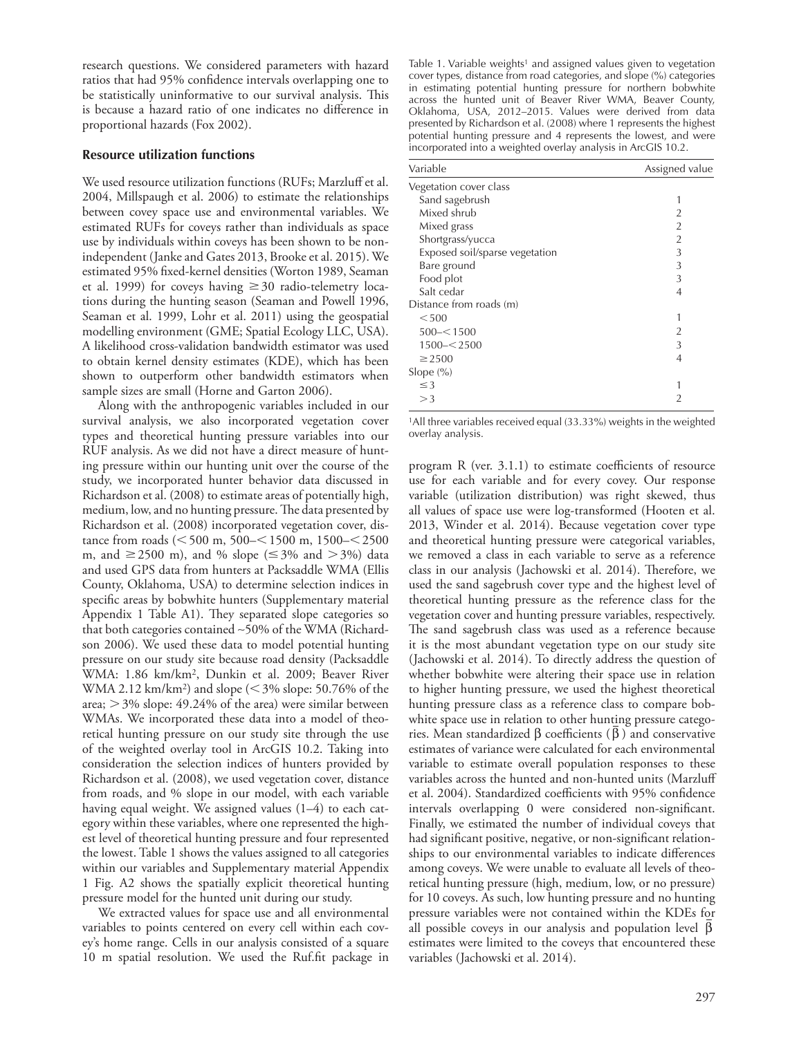research questions. We considered parameters with hazard ratios that had 95% confidence intervals overlapping one to be statistically uninformative to our survival analysis. This is because a hazard ratio of one indicates no difference in proportional hazards (Fox 2002).

#### **Resource utilization functions**

We used resource utilization functions (RUFs; Marzluff et al. 2004, Millspaugh et al. 2006) to estimate the relationships between covey space use and environmental variables. We estimated RUFs for coveys rather than individuals as space use by individuals within coveys has been shown to be nonindependent (Janke and Gates 2013, Brooke et al. 2015). We estimated 95% fixed-kernel densities (Worton 1989, Seaman et al. 1999) for coveys having  $\geq$  30 radio-telemetry locations during the hunting season (Seaman and Powell 1996, Seaman et al. 1999, Lohr et al. 2011) using the geospatial modelling environment (GME; Spatial Ecology LLC, USA). A likelihood cross-validation bandwidth estimator was used to obtain kernel density estimates (KDE), which has been shown to outperform other bandwidth estimators when sample sizes are small (Horne and Garton 2006).

Along with the anthropogenic variables included in our survival analysis, we also incorporated vegetation cover types and theoretical hunting pressure variables into our RUF analysis. As we did not have a direct measure of hunting pressure within our hunting unit over the course of the study, we incorporated hunter behavior data discussed in Richardson et al. (2008) to estimate areas of potentially high, medium, low, and no hunting pressure. The data presented by Richardson et al. (2008) incorporated vegetation cover, distance from roads ( $<$  500 m, 500– $<$  1500 m, 1500– $<$  2500 m, and  $\geq$  2500 m), and % slope ( $\leq$  3% and  $>$  3%) data and used GPS data from hunters at Packsaddle WMA (Ellis County, Oklahoma, USA) to determine selection indices in specific areas by bobwhite hunters (Supplementary material Appendix 1 Table A1). They separated slope categories so that both categories contained ∼50% of the WMA (Richardson 2006). We used these data to model potential hunting pressure on our study site because road density (Packsaddle WMA: 1.86 km/km2, Dunkin et al. 2009; Beaver River WMA 2.12 km/km<sup>2</sup>) and slope ( $\leq$  3% slope: 50.76% of the area;  $>$  3% slope: 49.24% of the area) were similar between WMAs. We incorporated these data into a model of theoretical hunting pressure on our study site through the use of the weighted overlay tool in ArcGIS 10.2. Taking into consideration the selection indices of hunters provided by Richardson et al. (2008), we used vegetation cover, distance from roads, and % slope in our model, with each variable having equal weight. We assigned values (1–4) to each category within these variables, where one represented the highest level of theoretical hunting pressure and four represented the lowest. Table 1 shows the values assigned to all categories within our variables and Supplementary material Appendix 1 Fig. A2 shows the spatially explicit theoretical hunting pressure model for the hunted unit during our study.

We extracted values for space use and all environmental variables to points centered on every cell within each covey's home range. Cells in our analysis consisted of a square 10 m spatial resolution. We used the Ruf.fit package in Table 1. Variable weights<sup>1</sup> and assigned values given to vegetation cover types, distance from road categories, and slope (%) categories in estimating potential hunting pressure for northern bobwhite across the hunted unit of Beaver River WMA, Beaver County, Oklahoma, USA, 2012–2015. Values were derived from data presented by Richardson et al. (2008) where 1 represents the highest potential hunting pressure and 4 represents the lowest, and were incorporated into a weighted overlay analysis in ArcGIS 10.2.

| Variable                       | Assigned value |
|--------------------------------|----------------|
| Vegetation cover class         |                |
| Sand sagebrush                 |                |
| Mixed shrub                    | 2              |
| Mixed grass                    | $\overline{2}$ |
| Shortgrass/yucca               | $\overline{2}$ |
| Exposed soil/sparse vegetation | 3              |
| Bare ground                    | 3              |
| Food plot                      | 3              |
| Salt cedar                     | 4              |
| Distance from roads (m)        |                |
| < 500                          |                |
| $500 - 500$                    | 2              |
| $1500 - 2500$                  | 3              |
| $\geq$ 2500                    | 4              |
| Slope $(\% )$                  |                |
| $\leq$ 3                       |                |
| >3                             | 2              |
|                                |                |

1All three variables received equal (33.33%) weights in the weighted overlay analysis.

program R (ver. 3.1.1) to estimate coefficients of resource use for each variable and for every covey. Our response variable (utilization distribution) was right skewed, thus all values of space use were log-transformed (Hooten et al. 2013, Winder et al. 2014). Because vegetation cover type and theoretical hunting pressure were categorical variables, we removed a class in each variable to serve as a reference class in our analysis (Jachowski et al. 2014). Therefore, we used the sand sagebrush cover type and the highest level of theoretical hunting pressure as the reference class for the vegetation cover and hunting pressure variables, respectively. The sand sagebrush class was used as a reference because it is the most abundant vegetation type on our study site (Jachowski et al. 2014). To directly address the question of whether bobwhite were altering their space use in relation to higher hunting pressure, we used the highest theoretical hunting pressure class as a reference class to compare bobwhite space use in relation to other hunting pressure categories. Mean standardized  $\beta$  coefficients ( $\beta$ ) and conservative estimates of variance were calculated for each environmental variable to estimate overall population responses to these variables across the hunted and non-hunted units (Marzluff et al. 2004). Standardized coefficients with 95% confidence intervals overlapping 0 were considered non-significant. Finally, we estimated the number of individual coveys that had significant positive, negative, or non-significant relationships to our environmental variables to indicate differences among coveys. We were unable to evaluate all levels of theoretical hunting pressure (high, medium, low, or no pressure) for 10 coveys. As such, low hunting pressure and no hunting pressure variables were not contained within the KDEs for all possible coveys in our analysis and population level  $β$ estimates were limited to the coveys that encountered these variables (Jachowski et al. 2014).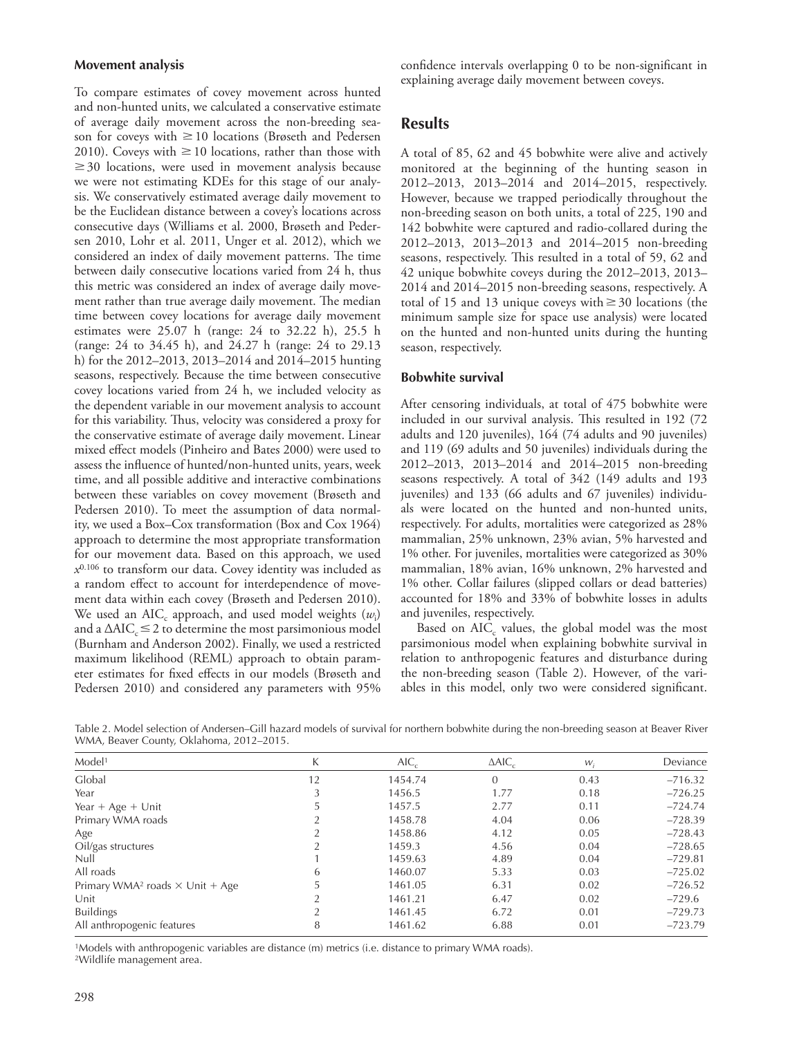#### **Movement analysis**

To compare estimates of covey movement across hunted and non-hunted units, we calculated a conservative estimate of average daily movement across the non-breeding season for coveys with  $\geq 10$  locations (Brøseth and Pedersen 2010). Coveys with  $\geq$  10 locations, rather than those with  $\geq$  30 locations, were used in movement analysis because we were not estimating KDEs for this stage of our analysis. We conservatively estimated average daily movement to be the Euclidean distance between a covey's locations across consecutive days (Williams et al. 2000, Brøseth and Pedersen 2010, Lohr et al. 2011, Unger et al. 2012), which we considered an index of daily movement patterns. The time between daily consecutive locations varied from 24 h, thus this metric was considered an index of average daily movement rather than true average daily movement. The median time between covey locations for average daily movement estimates were 25.07 h (range: 24 to 32.22 h), 25.5 h (range: 24 to 34.45 h), and 24.27 h (range: 24 to 29.13 h) for the 2012–2013, 2013–2014 and 2014–2015 hunting seasons, respectively. Because the time between consecutive covey locations varied from 24 h, we included velocity as the dependent variable in our movement analysis to account for this variability. Thus, velocity was considered a proxy for the conservative estimate of average daily movement. Linear mixed effect models (Pinheiro and Bates 2000) were used to assess the influence of hunted/non-hunted units, years, week time, and all possible additive and interactive combinations between these variables on covey movement (Brøseth and Pedersen 2010). To meet the assumption of data normality, we used a Box–Cox transformation (Box and Cox 1964) approach to determine the most appropriate transformation for our movement data. Based on this approach, we used *x*0.106 to transform our data. Covey identity was included as a random effect to account for interdependence of movement data within each covey (Brøseth and Pedersen 2010). We used an  $\text{AIC}_c$  approach, and used model weights  $(w_i)$ and a  $\triangle AIC \leq 2$  to determine the most parsimonious model (Burnham and Anderson 2002). Finally, we used a restricted maximum likelihood (REML) approach to obtain parameter estimates for fixed effects in our models (Brøseth and Pedersen 2010) and considered any parameters with 95%

confidence intervals overlapping 0 to be non-significant in explaining average daily movement between coveys.

### **Results**

A total of 85, 62 and 45 bobwhite were alive and actively monitored at the beginning of the hunting season in 2012–2013, 2013–2014 and 2014–2015, respectively. However, because we trapped periodically throughout the non-breeding season on both units, a total of 225, 190 and 142 bobwhite were captured and radio-collared during the 2012–2013, 2013–2013 and 2014–2015 non-breeding seasons, respectively. This resulted in a total of 59, 62 and 42 unique bobwhite coveys during the 2012–2013, 2013– 2014 and 2014–2015 non-breeding seasons, respectively. A total of 15 and 13 unique coveys with  $\geq$  30 locations (the minimum sample size for space use analysis) were located on the hunted and non-hunted units during the hunting season, respectively.

#### **Bobwhite survival**

After censoring individuals, at total of 475 bobwhite were included in our survival analysis. This resulted in 192 (72 adults and 120 juveniles), 164 (74 adults and 90 juveniles) and 119 (69 adults and 50 juveniles) individuals during the 2012–2013, 2013–2014 and 2014–2015 non-breeding seasons respectively. A total of 342 (149 adults and 193 juveniles) and 133 (66 adults and 67 juveniles) individuals were located on the hunted and non-hunted units, respectively. For adults, mortalities were categorized as 28% mammalian, 25% unknown, 23% avian, 5% harvested and 1% other. For juveniles, mortalities were categorized as 30% mammalian, 18% avian, 16% unknown, 2% harvested and 1% other. Collar failures (slipped collars or dead batteries) accounted for 18% and 33% of bobwhite losses in adults and juveniles, respectively.

Based on  $AIC_c$  values, the global model was the most parsimonious model when explaining bobwhite survival in relation to anthropogenic features and disturbance during the non-breeding season (Table 2). However, of the variables in this model, only two were considered significant.

Table 2. Model selection of Andersen–Gill hazard models of survival for northern bobwhite during the non-breeding season at Beaver River WMA, Beaver County, Oklahoma, 2012–2015.

| Model <sup>1</sup>                                 | К            | $AIC_c$ | $\triangle$ AIC <sub>c</sub> | $W_i$ | Deviance  |  |
|----------------------------------------------------|--------------|---------|------------------------------|-------|-----------|--|
| Global                                             | 12           | 1454.74 | $\Omega$                     | 0.43  | $-716.32$ |  |
| Year                                               | 3            | 1456.5  | 1.77                         | 0.18  | $-726.25$ |  |
| Year $+$ Age $+$ Unit                              |              | 1457.5  | 2.77                         | 0.11  | $-724.74$ |  |
| Primary WMA roads                                  |              | 1458.78 | 4.04                         | 0.06  | $-728.39$ |  |
| Age                                                |              | 1458.86 | 4.12                         | 0.05  | $-728.43$ |  |
| Oil/gas structures                                 |              | 1459.3  | 4.56                         | 0.04  | $-728.65$ |  |
| Null                                               |              | 1459.63 | 4.89                         | 0.04  | $-729.81$ |  |
| All roads                                          | 6            | 1460.07 | 5.33                         | 0.03  | $-725.02$ |  |
| Primary WMA <sup>2</sup> roads $\times$ Unit + Age |              | 1461.05 | 6.31                         | 0.02  | $-726.52$ |  |
| Unit                                               | <sup>1</sup> | 1461.21 | 6.47                         | 0.02  | $-729.6$  |  |
| <b>Buildings</b>                                   |              | 1461.45 | 6.72                         | 0.01  | $-729.73$ |  |
| All anthropogenic features                         | 8            | 1461.62 | 6.88                         | 0.01  | $-723.79$ |  |

1Models with anthropogenic variables are distance (m) metrics (i.e. distance to primary WMA roads). 2Wildlife management area.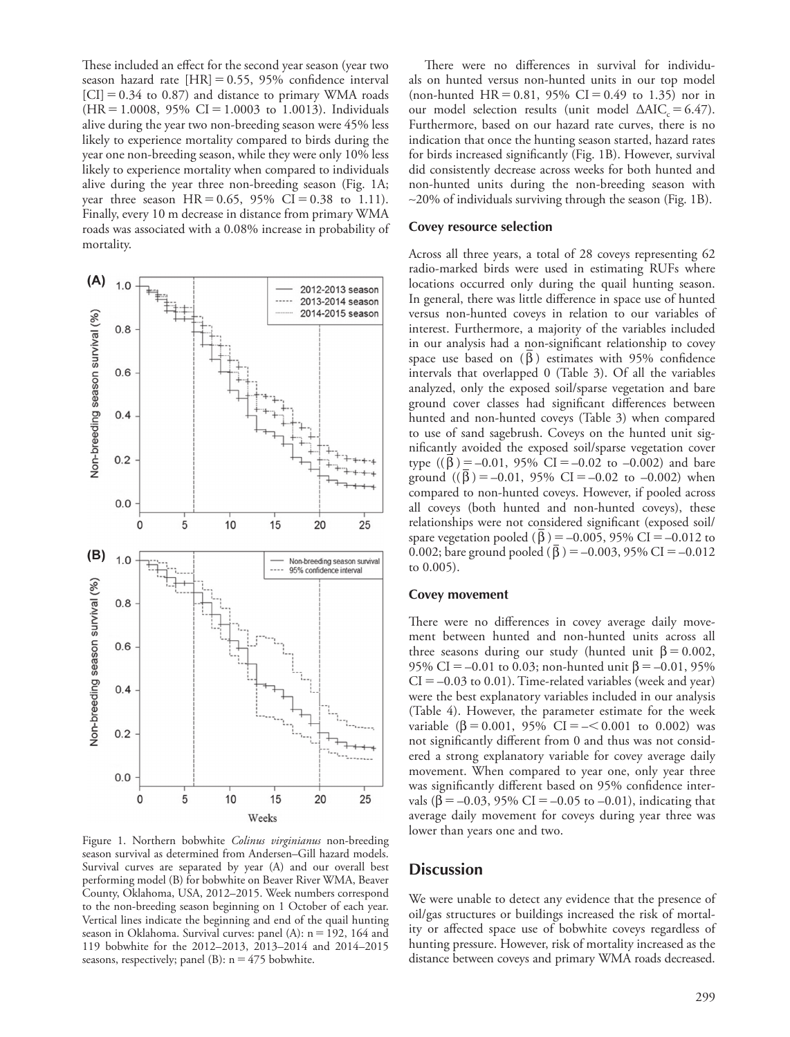These included an effect for the second year season (year two season hazard rate  $[HR] = 0.55$ , 95% confidence interval  $[CI] = 0.34$  to 0.87) and distance to primary WMA roads  $(HR = 1.0008, 95\% \text{ CI} = 1.0003 \text{ to } 1.0013)$ . Individuals alive during the year two non-breeding season were 45% less likely to experience mortality compared to birds during the year one non-breeding season, while they were only 10% less likely to experience mortality when compared to individuals alive during the year three non-breeding season (Fig. 1A; year three season  $HR = 0.65$ , 95% CI = 0.38 to 1.11). Finally, every 10 m decrease in distance from primary WMA roads was associated with a 0.08% increase in probability of mortality.



Figure 1. Northern bobwhite *Colinus virginianus* non-breeding season survival as determined from Andersen–Gill hazard models. Survival curves are separated by year (A) and our overall best performing model (B) for bobwhite on Beaver River WMA, Beaver County, Oklahoma, USA, 2012–2015. Week numbers correspond to the non-breeding season beginning on 1 October of each year. Vertical lines indicate the beginning and end of the quail hunting season in Oklahoma. Survival curves: panel (A):  $n = 192$ , 164 and 119 bobwhite for the 2012–2013, 2013–2014 and 2014–2015 seasons, respectively; panel (B):  $n = 475$  bobwhite.

There were no differences in survival for individuals on hunted versus non-hunted units in our top model (non-hunted HR = 0.81, 95% CI = 0.49 to 1.35) nor in our model selection results (unit model  $\triangle AIC_c = 6.47$ ). Furthermore, based on our hazard rate curves, there is no indication that once the hunting season started, hazard rates for birds increased significantly (Fig. 1B). However, survival did consistently decrease across weeks for both hunted and non-hunted units during the non-breeding season with ∼20% of individuals surviving through the season (Fig. 1B).

#### **Covey resource selection**

Across all three years, a total of 28 coveys representing 62 radio-marked birds were used in estimating RUFs where locations occurred only during the quail hunting season. In general, there was little difference in space use of hunted versus non-hunted coveys in relation to our variables of interest. Furthermore, a majority of the variables included in our analysis had a non-significant relationship to covey space use based on  $(\beta)$  estimates with 95% confidence intervals that overlapped 0 (Table 3). Of all the variables analyzed, only the exposed soil/sparse vegetation and bare ground cover classes had significant differences between hunted and non-hunted coveys (Table 3) when compared to use of sand sagebrush. Coveys on the hunted unit significantly avoided the exposed soil/sparse vegetation cover type  $((\beta) = -0.01, 95\% \text{ CI} = -0.02 \text{ to } -0.002)$  and bare ground  $((\beta) = -0.01, 95\% \text{ CI} = -0.02 \text{ to } -0.002) \text{ when}$ compared to non-hunted coveys. However, if pooled across all coveys (both hunted and non-hunted coveys), these relationships were not considered significant (exposed soil/ spare vegetation pooled ( $\beta$ ) = -0.005, 95% CI = -0.012 to 0.002; bare ground pooled ( $\bar{\beta}$ ) = -0.003, 95% CI = -0.012 to 0.005).

#### **Covey movement**

There were no differences in covey average daily movement between hunted and non-hunted units across all three seasons during our study (hunted unit  $\beta = 0.002$ , 95% CI = -0.01 to 0.03; non-hunted unit  $\beta$  = -0.01, 95%  $CI = -0.03$  to 0.01). Time-related variables (week and year) were the best explanatory variables included in our analysis (Table 4). However, the parameter estimate for the week variable  $(\beta = 0.001, 95\% \text{ CI} = -\leq 0.001 \text{ to } 0.002)$  was not significantly different from 0 and thus was not considered a strong explanatory variable for covey average daily movement. When compared to year one, only year three was significantly different based on 95% confidence intervals ( $\beta = -0.03$ , 95% CI = -0.05 to -0.01), indicating that average daily movement for coveys during year three was lower than years one and two.

#### **Discussion**

We were unable to detect any evidence that the presence of oil/gas structures or buildings increased the risk of mortality or affected space use of bobwhite coveys regardless of hunting pressure. However, risk of mortality increased as the distance between coveys and primary WMA roads decreased.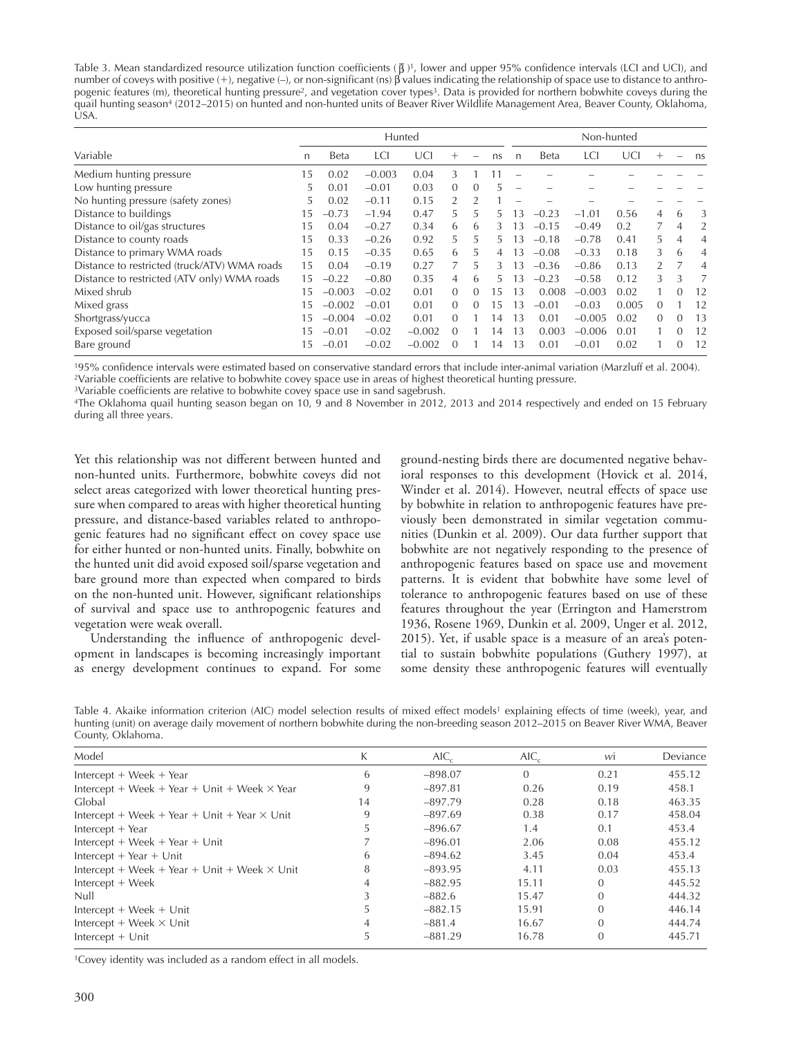Table 3. Mean standardized resource utilization function coefficients ( $\bar{B}$ )<sup>1</sup>, lower and upper 95% confidence intervals (LCI and UCI), and number of coveys with positive (+), negative (-), or non-significant (ns)  $\beta$  values indicating the relationship of space use to distance to anthropogenic features (m), theoretical hunting pressure<sup>2</sup>, and vegetation cover types<sup>3</sup>. Data is provided for northern bobwhite coveys during the quail hunting season<sup>4</sup> (2012–2015) on hunted and non-hunted units of Beaver River Wildlife Management Area, Beaver County, Oklahoma, USA.

|                                              | Hunted |          |          |          |               |               | Non-hunted |    |         |          |       |          |          |    |
|----------------------------------------------|--------|----------|----------|----------|---------------|---------------|------------|----|---------|----------|-------|----------|----------|----|
| Variable                                     | n      | Beta     | LCI      | UCI      |               |               | ns         | n  | Beta    | LCI      | UCI   |          |          | ns |
| Medium hunting pressure                      | 15     | 0.02     | $-0.003$ | 0.04     | 3             |               |            |    |         |          |       |          |          |    |
| Low hunting pressure                         | 5      | 0.01     | $-0.01$  | 0.03     | $\Omega$      | $\Omega$      | 5          | -  |         |          |       |          |          |    |
| No hunting pressure (safety zones)           | 5      | 0.02     | $-0.11$  | 0.15     | $\mathcal{P}$ | $\mathcal{P}$ |            |    |         |          |       |          |          |    |
| Distance to buildings                        | 15     | $-0.73$  | $-1.94$  | 0.47     | 5             | 5             | 5          | 13 | $-0.23$ | $-1.01$  | 0.56  | 4        | 6        | 3  |
| Distance to oil/gas structures               | 15     | 0.04     | $-0.27$  | 0.34     | 6             | 6             | 3          | 13 | $-0.15$ | $-0.49$  | 0.2   | 7        | 4        |    |
| Distance to county roads                     | 15     | 0.33     | $-0.26$  | 0.92     | 5.            | 5             | h          | 13 | $-0.18$ | $-0.78$  | 0.41  | 5.       | 4        | 4  |
| Distance to primary WMA roads                | 15     | 0.15     | $-0.35$  | 0.65     | 6             | 5             | 4          | 13 | $-0.08$ | $-0.33$  | 0.18  | 3        | 6        |    |
| Distance to restricted (truck/ATV) WMA roads | 15     | 0.04     | $-0.19$  | 0.27     |               | 5             | 3          | 13 | $-0.36$ | $-0.86$  | 0.13  |          |          | 4  |
| Distance to restricted (ATV only) WMA roads  | 15     | $-0.22$  | $-0.80$  | 0.35     | 4             | 6             | h          | 13 | $-0.23$ | $-0.58$  | 0.12  | 3        | 3        |    |
| Mixed shrub                                  | 15     | $-0.003$ | $-0.02$  | 0.01     | 0             | $\Omega$      | 15         | 13 | 0.008   | $-0.003$ | 0.02  |          | $\Omega$ | 12 |
| Mixed grass                                  | 15     | $-0.002$ | $-0.01$  | 0.01     | 0             | $\Omega$      | 15         | 13 | $-0.01$ | $-0.03$  | 0.005 | $\Omega$ |          | 12 |
| Shortgrass/yucca                             | 15     | $-0.004$ | $-0.02$  | 0.01     | 0             |               | 14         | 13 | 0.01    | $-0.005$ | 0.02  | $\Omega$ | $\Omega$ | 13 |
| Exposed soil/sparse vegetation               | 15     | $-0.01$  | $-0.02$  | $-0.002$ | 0             |               | 4          | 13 | 0.003   | $-0.006$ | 0.01  |          | 0        | 12 |
| Bare ground                                  | 15     | $-0.01$  | $-0.02$  | $-0.002$ | Ω             |               | 4          | 13 | 0.01    | $-0.01$  | 0.02  |          | 0        | 12 |

195% confidence intervals were estimated based on conservative standard errors that include inter-animal variation (Marzluff et al. 2004). 2Variable coefficients are relative to bobwhite covey space use in areas of highest theoretical hunting pressure.

<sup>3</sup>Variable coefficients are relative to bobwhite covey space use in sand sagebrush.

4The Oklahoma quail hunting season began on 10, 9 and 8 November in 2012, 2013 and 2014 respectively and ended on 15 February during all three years.

Yet this relationship was not different between hunted and non-hunted units. Furthermore, bobwhite coveys did not select areas categorized with lower theoretical hunting pressure when compared to areas with higher theoretical hunting pressure, and distance-based variables related to anthropogenic features had no significant effect on covey space use for either hunted or non-hunted units. Finally, bobwhite on the hunted unit did avoid exposed soil/sparse vegetation and bare ground more than expected when compared to birds on the non-hunted unit. However, significant relationships of survival and space use to anthropogenic features and vegetation were weak overall.

Understanding the influence of anthropogenic development in landscapes is becoming increasingly important as energy development continues to expand. For some ground-nesting birds there are documented negative behavioral responses to this development (Hovick et al. 2014, Winder et al. 2014). However, neutral effects of space use by bobwhite in relation to anthropogenic features have previously been demonstrated in similar vegetation communities (Dunkin et al. 2009). Our data further support that bobwhite are not negatively responding to the presence of anthropogenic features based on space use and movement patterns. It is evident that bobwhite have some level of tolerance to anthropogenic features based on use of these features throughout the year (Errington and Hamerstrom 1936, Rosene 1969, Dunkin et al. 2009, Unger et al. 2012, 2015). Yet, if usable space is a measure of an area's potential to sustain bobwhite populations (Guthery 1997), at some density these anthropogenic features will eventually

Table 4. Akaike information criterion (AIC) model selection results of mixed effect models<sup>1</sup> explaining effects of time (week), year, and hunting (unit) on average daily movement of northern bobwhite during the non-breeding season 2012–2015 on Beaver River WMA, Beaver County, Oklahoma.

| Model                                               | K  | $AIC_c$   | $AIC_c$        | wi             | Deviance |
|-----------------------------------------------------|----|-----------|----------------|----------------|----------|
| Intercept $+$ Week $+$ Year                         | 6  | $-898.07$ | $\overline{0}$ | 0.21           | 455.12   |
| Intercept + Week + Year + Unit + Week $\times$ Year | 9  | $-897.81$ | 0.26           | 0.19           | 458.1    |
| Global                                              | 14 | $-897.79$ | 0.28           | 0.18           | 463.35   |
| Intercept + Week + Year + Unit + Year $\times$ Unit | 9  | $-897.69$ | 0.38           | 0.17           | 458.04   |
| $Intercept + Year$                                  | 5  | $-896.67$ | 1.4            | 0.1            | 453.4    |
| Intercept + Week + Year + Unit                      |    | $-896.01$ | 2.06           | 0.08           | 455.12   |
| Intercept $+$ Year $+$ Unit                         | 6  | $-894.62$ | 3.45           | 0.04           | 453.4    |
| Intercept + Week + Year + Unit + Week $\times$ Unit | 8  | $-893.95$ | 4.11           | 0.03           | 455.13   |
| $Intercept + Week$                                  | 4  | $-882.95$ | 15.11          | $\Omega$       | 445.52   |
| <b>Null</b>                                         | 3  | $-882.6$  | 15.47          | $\Omega$       | 444.32   |
| Intercept $+$ Week $+$ Unit                         | 5  | $-882.15$ | 15.91          | $\Omega$       | 446.14   |
| Intercept + Week $\times$ Unit                      | 4  | $-881.4$  | 16.67          | $\Omega$       | 444.74   |
| Intercept $+$ Unit                                  | 5  | $-881.29$ | 16.78          | $\overline{0}$ | 445.71   |

<sup>1</sup>Covey identity was included as a random effect in all models.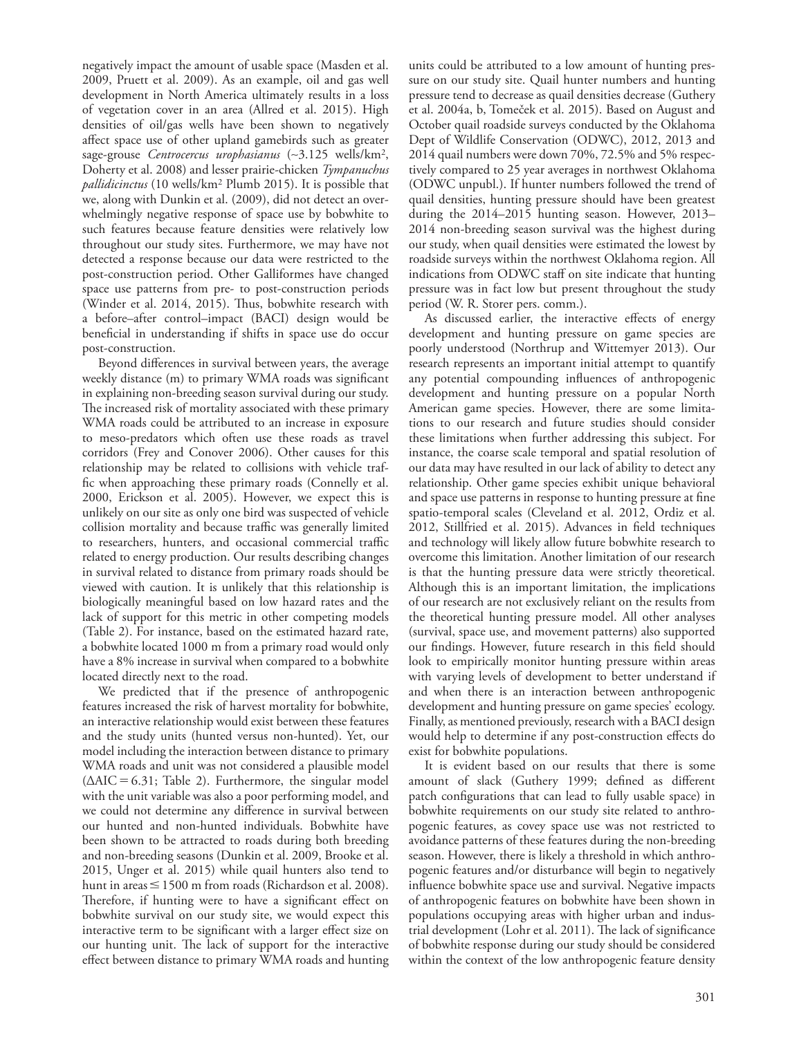negatively impact the amount of usable space (Masden et al. 2009, Pruett et al. 2009). As an example, oil and gas well development in North America ultimately results in a loss of vegetation cover in an area (Allred et al. 2015). High densities of oil/gas wells have been shown to negatively affect space use of other upland gamebirds such as greater sage-grouse *Centrocercus urophasianus* (∼3.125 wells/km2, Doherty et al. 2008) and lesser prairie-chicken *Tympanuchus pallidicinctus* (10 wells/km2 Plumb 2015). It is possible that we, along with Dunkin et al. (2009), did not detect an overwhelmingly negative response of space use by bobwhite to such features because feature densities were relatively low throughout our study sites. Furthermore, we may have not detected a response because our data were restricted to the post-construction period. Other Galliformes have changed space use patterns from pre- to post-construction periods (Winder et al. 2014, 2015). Thus, bobwhite research with a before–after control–impact (BACI) design would be beneficial in understanding if shifts in space use do occur post-construction.

Beyond differences in survival between years, the average weekly distance (m) to primary WMA roads was significant in explaining non-breeding season survival during our study. The increased risk of mortality associated with these primary WMA roads could be attributed to an increase in exposure to meso-predators which often use these roads as travel corridors (Frey and Conover 2006). Other causes for this relationship may be related to collisions with vehicle traffic when approaching these primary roads (Connelly et al. 2000, Erickson et al. 2005). However, we expect this is unlikely on our site as only one bird was suspected of vehicle collision mortality and because traffic was generally limited to researchers, hunters, and occasional commercial traffic related to energy production. Our results describing changes in survival related to distance from primary roads should be viewed with caution. It is unlikely that this relationship is biologically meaningful based on low hazard rates and the lack of support for this metric in other competing models (Table 2). For instance, based on the estimated hazard rate, a bobwhite located 1000 m from a primary road would only have a 8% increase in survival when compared to a bobwhite located directly next to the road.

We predicted that if the presence of anthropogenic features increased the risk of harvest mortality for bobwhite, an interactive relationship would exist between these features and the study units (hunted versus non-hunted). Yet, our model including the interaction between distance to primary WMA roads and unit was not considered a plausible model  $(\Delta AIC = 6.31;$  Table 2). Furthermore, the singular model with the unit variable was also a poor performing model, and we could not determine any difference in survival between our hunted and non-hunted individuals. Bobwhite have been shown to be attracted to roads during both breeding and non-breeding seasons (Dunkin et al. 2009, Brooke et al. 2015, Unger et al. 2015) while quail hunters also tend to hunt in areas  $\leq$  1500 m from roads (Richardson et al. 2008). Therefore, if hunting were to have a significant effect on bobwhite survival on our study site, we would expect this interactive term to be significant with a larger effect size on our hunting unit. The lack of support for the interactive effect between distance to primary WMA roads and hunting units could be attributed to a low amount of hunting pressure on our study site. Quail hunter numbers and hunting pressure tend to decrease as quail densities decrease (Guthery et al. 2004a, b, Tomeček et al. 2015). Based on August and October quail roadside surveys conducted by the Oklahoma Dept of Wildlife Conservation (ODWC), 2012, 2013 and 2014 quail numbers were down 70%, 72.5% and 5% respectively compared to 25 year averages in northwest Oklahoma (ODWC unpubl.). If hunter numbers followed the trend of quail densities, hunting pressure should have been greatest during the 2014–2015 hunting season. However, 2013– 2014 non-breeding season survival was the highest during our study, when quail densities were estimated the lowest by roadside surveys within the northwest Oklahoma region. All indications from ODWC staff on site indicate that hunting pressure was in fact low but present throughout the study period (W. R. Storer pers. comm.).

As discussed earlier, the interactive effects of energy development and hunting pressure on game species are poorly understood (Northrup and Wittemyer 2013). Our research represents an important initial attempt to quantify any potential compounding influences of anthropogenic development and hunting pressure on a popular North American game species. However, there are some limitations to our research and future studies should consider these limitations when further addressing this subject. For instance, the coarse scale temporal and spatial resolution of our data may have resulted in our lack of ability to detect any relationship. Other game species exhibit unique behavioral and space use patterns in response to hunting pressure at fine spatio-temporal scales (Cleveland et al. 2012, Ordiz et al. 2012, Stillfried et al. 2015). Advances in field techniques and technology will likely allow future bobwhite research to overcome this limitation. Another limitation of our research is that the hunting pressure data were strictly theoretical. Although this is an important limitation, the implications of our research are not exclusively reliant on the results from the theoretical hunting pressure model. All other analyses (survival, space use, and movement patterns) also supported our findings. However, future research in this field should look to empirically monitor hunting pressure within areas with varying levels of development to better understand if and when there is an interaction between anthropogenic development and hunting pressure on game species' ecology. Finally, as mentioned previously, research with a BACI design would help to determine if any post-construction effects do exist for bobwhite populations.

It is evident based on our results that there is some amount of slack (Guthery 1999; defined as different patch configurations that can lead to fully usable space) in bobwhite requirements on our study site related to anthropogenic features, as covey space use was not restricted to avoidance patterns of these features during the non-breeding season. However, there is likely a threshold in which anthropogenic features and/or disturbance will begin to negatively influence bobwhite space use and survival. Negative impacts of anthropogenic features on bobwhite have been shown in populations occupying areas with higher urban and industrial development (Lohr et al. 2011). The lack of significance of bobwhite response during our study should be considered within the context of the low anthropogenic feature density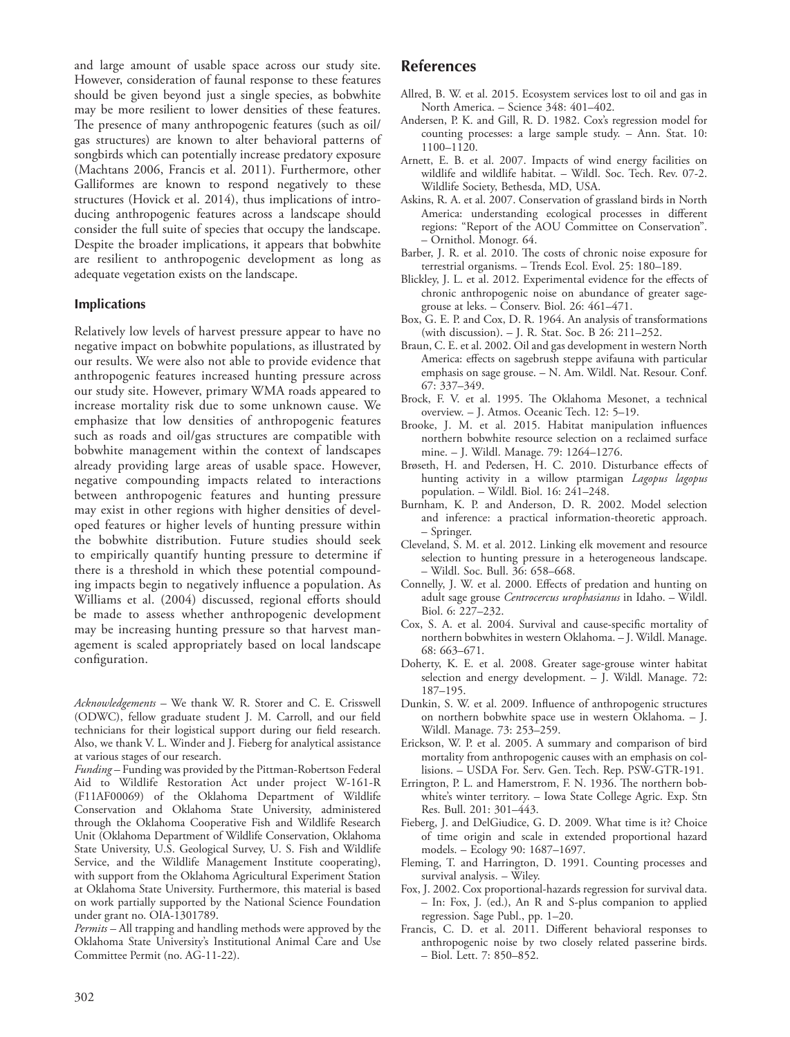and large amount of usable space across our study site. However, consideration of faunal response to these features should be given beyond just a single species, as bobwhite may be more resilient to lower densities of these features. The presence of many anthropogenic features (such as oil/ gas structures) are known to alter behavioral patterns of songbirds which can potentially increase predatory exposure (Machtans 2006, Francis et al. 2011). Furthermore, other Galliformes are known to respond negatively to these structures (Hovick et al. 2014), thus implications of introducing anthropogenic features across a landscape should consider the full suite of species that occupy the landscape. Despite the broader implications, it appears that bobwhite are resilient to anthropogenic development as long as adequate vegetation exists on the landscape.

#### **Implications**

Relatively low levels of harvest pressure appear to have no negative impact on bobwhite populations, as illustrated by our results. We were also not able to provide evidence that anthropogenic features increased hunting pressure across our study site. However, primary WMA roads appeared to increase mortality risk due to some unknown cause. We emphasize that low densities of anthropogenic features such as roads and oil/gas structures are compatible with bobwhite management within the context of landscapes already providing large areas of usable space. However, negative compounding impacts related to interactions between anthropogenic features and hunting pressure may exist in other regions with higher densities of developed features or higher levels of hunting pressure within the bobwhite distribution. Future studies should seek to empirically quantify hunting pressure to determine if there is a threshold in which these potential compounding impacts begin to negatively influence a population. As Williams et al. (2004) discussed, regional efforts should be made to assess whether anthropogenic development may be increasing hunting pressure so that harvest management is scaled appropriately based on local landscape configuration.

*Acknowledgements –* We thank W. R. Storer and C. E. Crisswell (ODWC), fellow graduate student J. M. Carroll, and our field technicians for their logistical support during our field research. Also, we thank V. L. Winder and J. Fieberg for analytical assistance at various stages of our research.

*Funding –* Funding was provided by the Pittman-Robertson Federal Aid to Wildlife Restoration Act under project W-161-R (F11AF00069) of the Oklahoma Department of Wildlife Conservation and Oklahoma State University, administered through the Oklahoma Cooperative Fish and Wildlife Research Unit (Oklahoma Department of Wildlife Conservation, Oklahoma State University, U.S. Geological Survey, U. S. Fish and Wildlife Service, and the Wildlife Management Institute cooperating), with support from the Oklahoma Agricultural Experiment Station at Oklahoma State University. Furthermore, this material is based on work partially supported by the National Science Foundation under grant no. OIA-1301789.

*Permits –* All trapping and handling methods were approved by the Oklahoma State University's Institutional Animal Care and Use Committee Permit (no. AG-11-22).

## **References**

- Allred, B. W. et al. 2015. Ecosystem services lost to oil and gas in North America. – Science 348: 401–402.
- Andersen, P. K. and Gill, R. D. 1982. Cox's regression model for counting processes: a large sample study. – Ann. Stat. 10: 1100–1120.
- Arnett, E. B. et al. 2007. Impacts of wind energy facilities on wildlife and wildlife habitat. – Wildl. Soc. Tech. Rev. 07-2. Wildlife Society, Bethesda, MD, USA.
- Askins, R. A. et al. 2007. Conservation of grassland birds in North America: understanding ecological processes in different regions: "Report of the AOU Committee on Conservation". – Ornithol. Monogr. 64.
- Barber, J. R. et al. 2010. The costs of chronic noise exposure for terrestrial organisms. – Trends Ecol. Evol. 25: 180–189.
- Blickley, J. L. et al. 2012. Experimental evidence for the effects of chronic anthropogenic noise on abundance of greater sagegrouse at leks. – Conserv. Biol. 26: 461–471.
- Box, G. E. P. and Cox, D. R. 1964. An analysis of transformations (with discussion). – J. R. Stat. Soc. B 26: 211–252.
- Braun, C. E. et al. 2002. Oil and gas development in western North America: effects on sagebrush steppe avifauna with particular emphasis on sage grouse. – N. Am. Wildl. Nat. Resour. Conf. 67: 337–349.
- Brock, F. V. et al. 1995. The Oklahoma Mesonet, a technical overview. – J. Atmos. Oceanic Tech. 12: 5–19.
- Brooke, J. M. et al. 2015. Habitat manipulation influences northern bobwhite resource selection on a reclaimed surface mine. – J. Wildl. Manage. 79: 1264–1276.
- Brøseth, H. and Pedersen, H. C. 2010. Disturbance effects of hunting activity in a willow ptarmigan *Lagopus lagopus* population. – Wildl. Biol. 16: 241–248.
- Burnham, K. P. and Anderson, D. R. 2002. Model selection and inference: a practical information-theoretic approach. – Springer.
- Cleveland, S. M. et al. 2012. Linking elk movement and resource selection to hunting pressure in a heterogeneous landscape. – Wildl. Soc. Bull. 36: 658–668.
- Connelly, J. W. et al. 2000. Effects of predation and hunting on adult sage grouse *Centrocercus urophasianus* in Idaho. – Wildl. Biol. 6: 227–232.
- Cox, S. A. et al. 2004. Survival and cause-specific mortality of northern bobwhites in western Oklahoma. – J. Wildl. Manage. 68: 663–671.
- Doherty, K. E. et al. 2008. Greater sage-grouse winter habitat selection and energy development. – J. Wildl. Manage. 72: 187–195.
- Dunkin, S. W. et al. 2009. Influence of anthropogenic structures on northern bobwhite space use in western Oklahoma. – J. Wildl. Manage. 73: 253–259.
- Erickson, W. P. et al. 2005. A summary and comparison of bird mortality from anthropogenic causes with an emphasis on collisions. – USDA For. Serv. Gen. Tech. Rep. PSW-GTR-191.
- Errington, P. L. and Hamerstrom, F. N. 1936. The northern bobwhite's winter territory. – Iowa State College Agric. Exp. Stn Res. Bull. 201: 301–443.
- Fieberg, J. and DelGiudice, G. D. 2009. What time is it? Choice of time origin and scale in extended proportional hazard models. – Ecology 90: 1687–1697.
- Fleming, T. and Harrington, D. 1991. Counting processes and survival analysis. – Wiley.
- Fox, J. 2002. Cox proportional-hazards regression for survival data. – In: Fox, J. (ed.), An R and S-plus companion to applied regression. Sage Publ., pp. 1–20.
- Francis, C. D. et al. 2011. Different behavioral responses to anthropogenic noise by two closely related passerine birds. – Biol. Lett. 7: 850–852.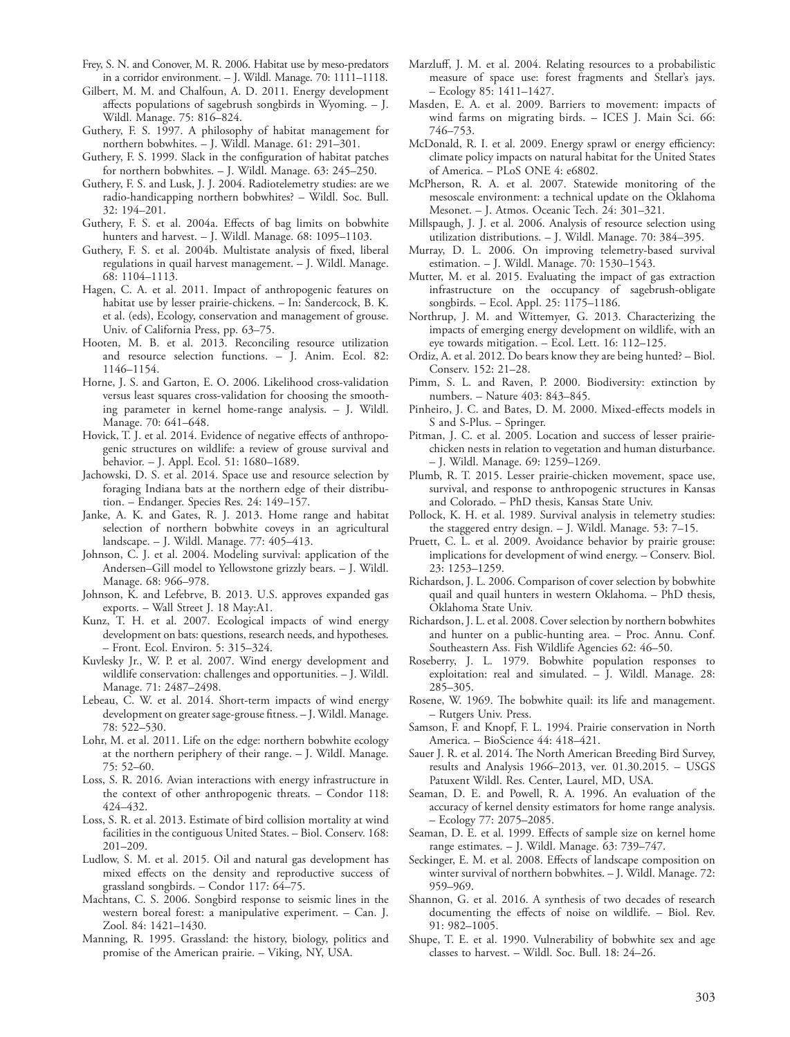- Frey, S. N. and Conover, M. R. 2006. Habitat use by meso-predators in a corridor environment. – J. Wildl. Manage. 70: 1111–1118.
- Gilbert, M. M. and Chalfoun, A. D. 2011. Energy development affects populations of sagebrush songbirds in Wyoming. – J. Wildl. Manage. 75: 816–824.
- Guthery, F. S. 1997. A philosophy of habitat management for northern bobwhites. – J. Wildl. Manage. 61: 291–301.
- Guthery, F. S. 1999. Slack in the configuration of habitat patches for northern bobwhites. – J. Wildl. Manage. 63: 245–250.
- Guthery, F. S. and Lusk, J. J. 2004. Radiotelemetry studies: are we radio-handicapping northern bobwhites? – Wildl. Soc. Bull. 32: 194–201.
- Guthery, F. S. et al. 2004a. Effects of bag limits on bobwhite hunters and harvest. – J. Wildl. Manage. 68: 1095–1103.
- Guthery, F. S. et al. 2004b. Multistate analysis of fixed, liberal regulations in quail harvest management. – J. Wildl. Manage. 68: 1104–1113.
- Hagen, C. A. et al. 2011. Impact of anthropogenic features on habitat use by lesser prairie-chickens. – In: Sandercock, B. K. et al. (eds), Ecology, conservation and management of grouse. Univ. of California Press, pp. 63–75.
- Hooten, M. B. et al. 2013. Reconciling resource utilization and resource selection functions. – J. Anim. Ecol. 82: 1146–1154.
- Horne, J. S. and Garton, E. O. 2006. Likelihood cross-validation versus least squares cross-validation for choosing the smoothing parameter in kernel home-range analysis. – J. Wildl. Manage. 70: 641–648.
- Hovick, T. J. et al. 2014. Evidence of negative effects of anthropogenic structures on wildlife: a review of grouse survival and behavior. – J. Appl. Ecol. 51: 1680–1689.
- Jachowski, D. S. et al. 2014. Space use and resource selection by foraging Indiana bats at the northern edge of their distribution. – Endanger. Species Res. 24: 149–157.
- Janke, A. K. and Gates, R. J. 2013. Home range and habitat selection of northern bobwhite coveys in an agricultural landscape. – J. Wildl. Manage. 77: 405–413.
- Johnson, C. J. et al. 2004. Modeling survival: application of the Andersen–Gill model to Yellowstone grizzly bears. – J. Wildl. Manage. 68: 966–978.
- Johnson, K. and Lefebrve, B. 2013. U.S. approves expanded gas exports. – Wall Street J. 18 May:A1.
- Kunz, T. H. et al. 2007. Ecological impacts of wind energy development on bats: questions, research needs, and hypotheses. – Front. Ecol. Environ. 5: 315–324.
- Kuvlesky Jr., W. P. et al. 2007. Wind energy development and wildlife conservation: challenges and opportunities. – J. Wildl. Manage. 71: 2487–2498.
- Lebeau, C. W. et al. 2014. Short-term impacts of wind energy development on greater sage-grouse fitness. – J. Wildl. Manage. 78: 522–530.
- Lohr, M. et al. 2011. Life on the edge: northern bobwhite ecology at the northern periphery of their range. – J. Wildl. Manage. 75: 52–60.
- Loss, S. R. 2016. Avian interactions with energy infrastructure in the context of other anthropogenic threats. – Condor 118: 424–432.
- Loss, S. R. et al. 2013. Estimate of bird collision mortality at wind facilities in the contiguous United States. – Biol. Conserv. 168: 201–209.
- Ludlow, S. M. et al. 2015. Oil and natural gas development has mixed effects on the density and reproductive success of grassland songbirds. – Condor 117: 64–75.
- Machtans, C. S. 2006. Songbird response to seismic lines in the western boreal forest: a manipulative experiment. – Can. J. Zool. 84: 1421–1430.
- Manning, R. 1995. Grassland: the history, biology, politics and promise of the American prairie. – Viking, NY, USA.
- Marzluff, J. M. et al. 2004. Relating resources to a probabilistic measure of space use: forest fragments and Stellar's jays. – Ecology 85: 1411–1427.
- Masden, E. A. et al. 2009. Barriers to movement: impacts of wind farms on migrating birds. – ICES J. Main Sci. 66: 746–753.
- McDonald, R. I. et al. 2009. Energy sprawl or energy efficiency: climate policy impacts on natural habitat for the United States of America. – PLoS ONE 4: e6802.
- McPherson, R. A. et al. 2007. Statewide monitoring of the mesoscale environment: a technical update on the Oklahoma Mesonet. – J. Atmos. Oceanic Tech. 24: 301–321.
- Millspaugh, J. J. et al. 2006. Analysis of resource selection using utilization distributions. – J. Wildl. Manage. 70: 384–395.
- Murray, D. L. 2006. On improving telemetry-based survival estimation. – J. Wildl. Manage. 70: 1530–1543.
- Mutter, M. et al. 2015. Evaluating the impact of gas extraction infrastructure on the occupancy of sagebrush-obligate songbirds. – Ecol. Appl. 25: 1175–1186.
- Northrup, J. M. and Wittemyer, G. 2013. Characterizing the impacts of emerging energy development on wildlife, with an eye towards mitigation. – Ecol. Lett. 16: 112–125.
- Ordiz, A. et al. 2012. Do bears know they are being hunted? Biol. Conserv. 152: 21–28.
- Pimm, S. L. and Raven, P. 2000. Biodiversity: extinction by numbers. – Nature 403: 843–845.
- Pinheiro, J. C. and Bates, D. M. 2000. Mixed-effects models in S and S-Plus. – Springer.
- Pitman, J. C. et al. 2005. Location and success of lesser prairiechicken nests in relation to vegetation and human disturbance. – J. Wildl. Manage. 69: 1259–1269.
- Plumb, R. T. 2015. Lesser prairie-chicken movement, space use, survival, and response to anthropogenic structures in Kansas and Colorado. – PhD thesis, Kansas State Univ.
- Pollock, K. H. et al. 1989. Survival analysis in telemetry studies: the staggered entry design. – J. Wildl. Manage. 53: 7–15.
- Pruett, C. L. et al. 2009. Avoidance behavior by prairie grouse: implications for development of wind energy. – Conserv. Biol. 23: 1253–1259.
- Richardson, J. L. 2006. Comparison of cover selection by bobwhite quail and quail hunters in western Oklahoma. – PhD thesis, Oklahoma State Univ.
- Richardson, J. L. et al. 2008. Cover selection by northern bobwhites and hunter on a public-hunting area. – Proc. Annu. Conf. Southeastern Ass. Fish Wildlife Agencies 62: 46–50.
- Roseberry, J. L. 1979. Bobwhite population responses to exploitation: real and simulated. – J. Wildl. Manage. 28: 285–305.
- Rosene, W. 1969. The bobwhite quail: its life and management. – Rutgers Univ. Press.
- Samson, F. and Knopf, F. L. 1994. Prairie conservation in North America. – BioScience 44: 418–421.
- Sauer J. R. et al. 2014. The North American Breeding Bird Survey, results and Analysis 1966–2013, ver. 01.30.2015. – USGS Patuxent Wildl. Res. Center, Laurel, MD, USA.
- Seaman, D. E. and Powell, R. A. 1996. An evaluation of the accuracy of kernel density estimators for home range analysis. – Ecology 77: 2075–2085.
- Seaman, D. E. et al. 1999. Effects of sample size on kernel home range estimates. – J. Wildl. Manage. 63: 739–747.
- Seckinger, E. M. et al. 2008. Effects of landscape composition on winter survival of northern bobwhites. – J. Wildl. Manage. 72: 959–969.
- Shannon, G. et al. 2016. A synthesis of two decades of research documenting the effects of noise on wildlife. – Biol. Rev. 91: 982–1005.
- Shupe, T. E. et al. 1990. Vulnerability of bobwhite sex and age classes to harvest. – Wildl. Soc. Bull. 18: 24–26.